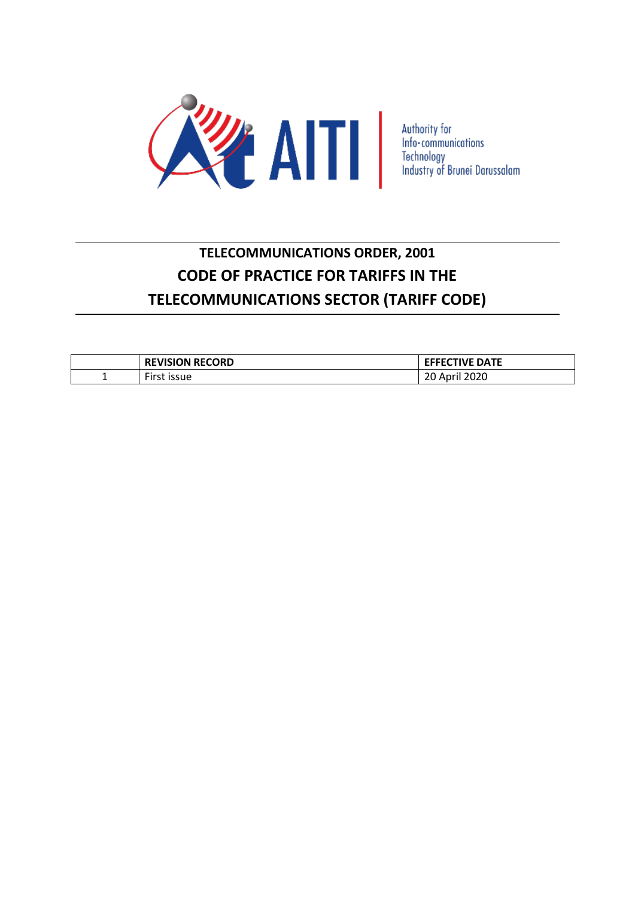

# **TELECOMMUNICATIONS ORDER, 2001 CODE OF PRACTICE FOR TARIFFS IN THE TELECOMMUNICATIONS SECTOR (TARIFF CODE)**

|   | <b>REVISION RECORD</b>             | <b>EFFECTIVE DATE</b>       |
|---|------------------------------------|-----------------------------|
| - | $- \cdot$<br>_irct<br><b>ISSUE</b> | 2020<br>Anril<br>ZU.<br>nui |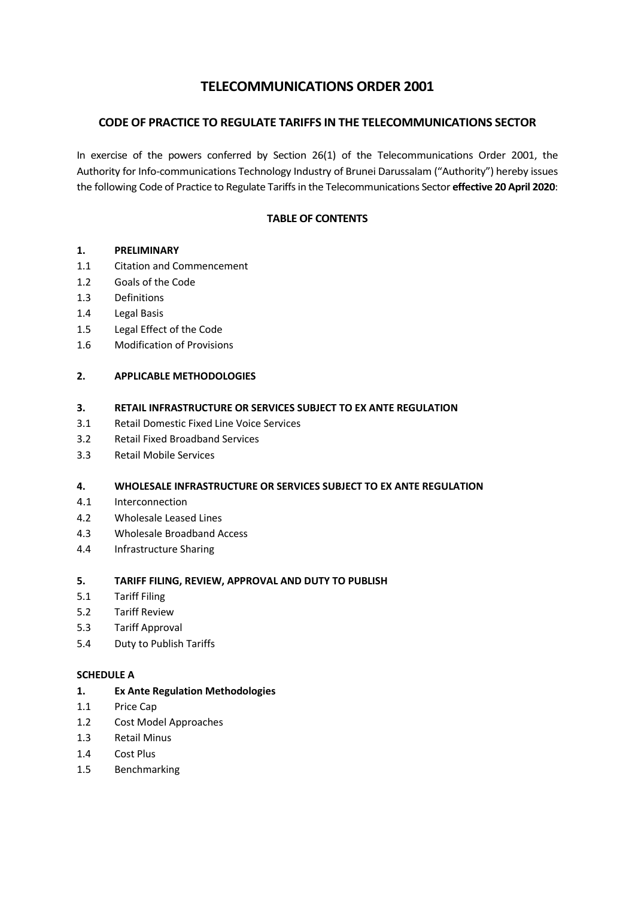## **TELECOMMUNICATIONS ORDER 2001**

## **CODE OF PRACTICE TO REGULATE TARIFFS IN THE TELECOMMUNICATIONS SECTOR**

In exercise of the powers conferred by Section 26(1) of the Telecommunications Order 2001, the Authority for Info-communications Technology Industry of Brunei Darussalam ("Authority") hereby issues the following Code of Practice to Regulate Tariffs in the Telecommunications Sector **effective 20 April 2020**:

## **TABLE OF CONTENTS**

## **1. PRELIMINARY**

- 1.1 Citation and Commencement
- 1.2 Goals of the Code
- 1.3 Definitions
- 1.4 Legal Basis
- 1.5 Legal Effect of the Code
- 1.6 Modification of Provisions

## **2. APPLICABLE METHODOLOGIES**

## **3. RETAIL INFRASTRUCTURE OR SERVICES SUBJECT TO EX ANTE REGULATION**

- 3.1 Retail Domestic Fixed Line Voice Services
- 3.2 Retail Fixed Broadband Services
- 3.3 Retail Mobile Services

## **4. WHOLESALE INFRASTRUCTURE OR SERVICES SUBJECT TO EX ANTE REGULATION**

- 4.1 Interconnection
- 4.2 Wholesale Leased Lines
- 4.3 Wholesale Broadband Access
- 4.4 Infrastructure Sharing

## **5. TARIFF FILING, REVIEW, APPROVAL AND DUTY TO PUBLISH**

- 5.1 Tariff Filing
- 5.2 Tariff Review
- 5.3 Tariff Approval
- 5.4 Duty to Publish Tariffs

## **SCHEDULE A**

- **1. Ex Ante Regulation Methodologies**
- 1.1 Price Cap
- 1.2 Cost Model Approaches
- 1.3 Retail Minus
- 1.4 Cost Plus
- 1.5 Benchmarking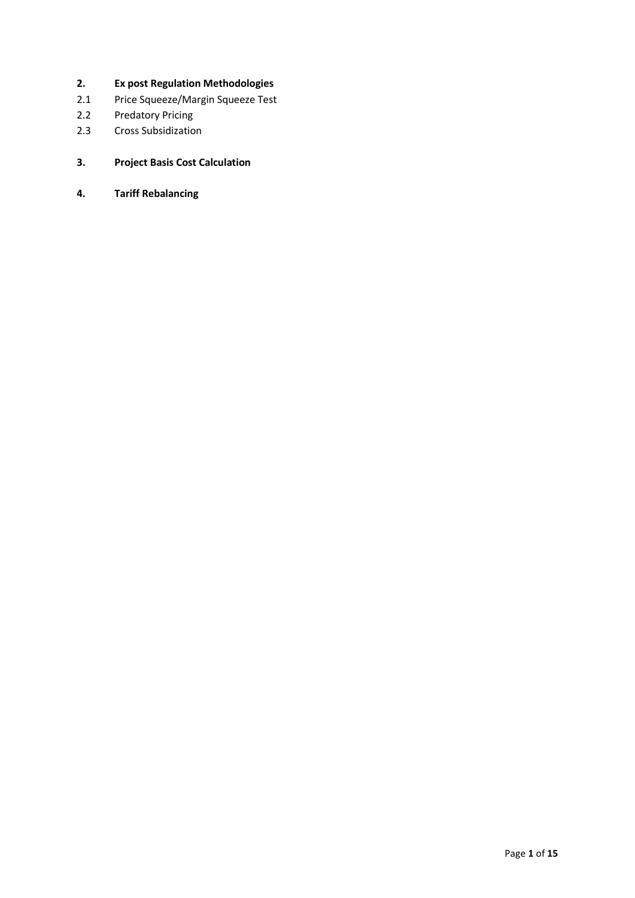- **2. Ex post Regulation Methodologies**
- 2.1 Price Squeeze/Margin Squeeze Test
- 2.2 Predatory Pricing
- 2.3 Cross Subsidization
- **3. Project Basis Cost Calculation**
- **4. Tariff Rebalancing**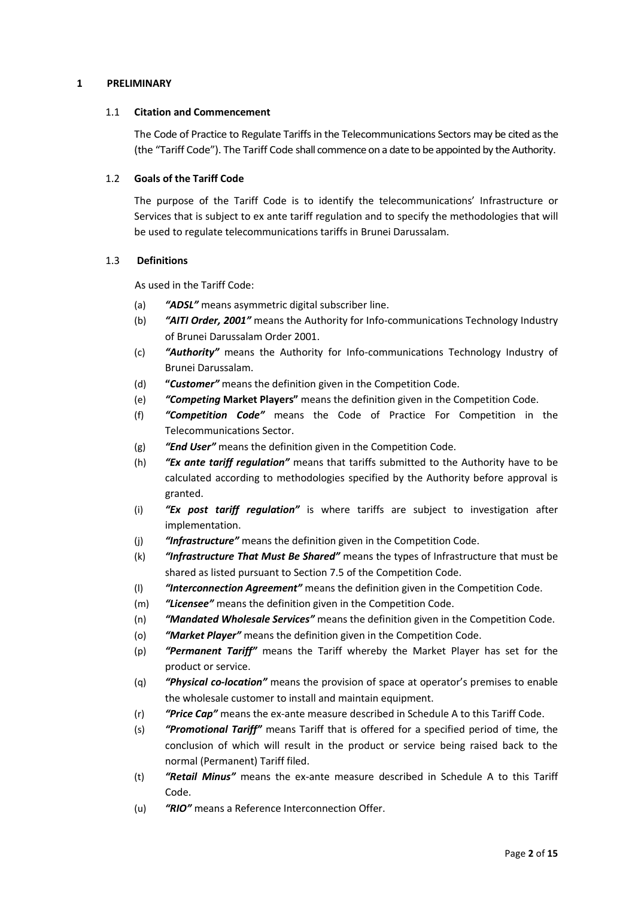## **1 PRELIMINARY**

#### 1.1 **Citation and Commencement**

The Code of Practice to Regulate Tariffs in the Telecommunications Sectors may be cited as the (the "Tariff Code"). The Tariff Code shall commence on a date to be appointed by the Authority.

## 1.2 **Goals of the Tariff Code**

The purpose of the Tariff Code is to identify the telecommunications' Infrastructure or Services that is subject to ex ante tariff regulation and to specify the methodologies that will be used to regulate telecommunications tariffs in Brunei Darussalam.

## 1.3 **Definitions**

As used in the Tariff Code:

- (a) *"ADSL"* means asymmetric digital subscriber line.
- (b) *"AITI Order, 2001"* means the Authority for Info-communications Technology Industry of Brunei Darussalam Order 2001.
- (c) *"Authority"* means the Authority for Info-communications Technology Industry of Brunei Darussalam.
- (d) **"***Customer"* means the definition given in the Competition Code.
- (e) *"Competing* **Market Players"** means the definition given in the Competition Code.
- (f) *"Competition Code"* means the Code of Practice For Competition in the Telecommunications Sector.
- (g) *"End User"* means the definition given in the Competition Code.
- (h) *"Ex ante tariff regulation"* means that tariffs submitted to the Authority have to be calculated according to methodologies specified by the Authority before approval is granted.
- (i) *"Ex post tariff regulation"* is where tariffs are subject to investigation after implementation.
- (j) *"Infrastructure"* means the definition given in the Competition Code.
- (k) *"Infrastructure That Must Be Shared"* means the types of Infrastructure that must be shared as listed pursuant to Section 7.5 of the Competition Code.
- (l) *"Interconnection Agreement"* means the definition given in the Competition Code.
- (m) *"Licensee"* means the definition given in the Competition Code.
- (n) *"Mandated Wholesale Services"* means the definition given in the Competition Code.
- (o) *"Market Player"* means the definition given in the Competition Code.
- (p) *"Permanent Tariff"* means the Tariff whereby the Market Player has set for the product or service.
- (q) *"Physical co-location"* means the provision of space at operator's premises to enable the wholesale customer to install and maintain equipment.
- (r) *"Price Cap"* means the ex-ante measure described in Schedule A to this Tariff Code.
- (s) *"Promotional Tariff"* means Tariff that is offered for a specified period of time, the conclusion of which will result in the product or service being raised back to the normal (Permanent) Tariff filed.
- (t) *"Retail Minus"* means the ex-ante measure described in Schedule A to this Tariff Code.
- (u) *"RIO"* means a Reference Interconnection Offer.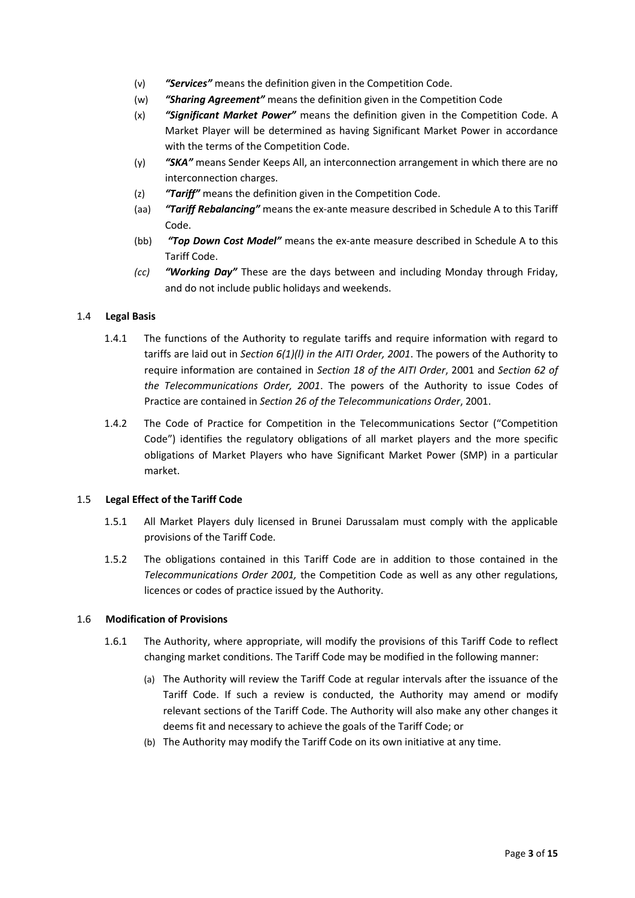- (v) *"Services"* means the definition given in the Competition Code.
- (w) *"Sharing Agreement"* means the definition given in the Competition Code
- (x) *"Significant Market Power"* means the definition given in the Competition Code. A Market Player will be determined as having Significant Market Power in accordance with the terms of the Competition Code.
- (y) *"SKA"* means Sender Keeps All, an interconnection arrangement in which there are no interconnection charges.
- (z) *"Tariff"* means the definition given in the Competition Code.
- (aa) *"Tariff Rebalancing"* means the ex-ante measure described in Schedule A to this Tariff Code.
- (bb) *"Top Down Cost Model"* means the ex-ante measure described in Schedule A to this Tariff Code.
- *(cc) "Working Day"* These are the days between and including Monday through Friday, and do not include public holidays and weekends.

## 1.4 **Legal Basis**

- 1.4.1 The functions of the Authority to regulate tariffs and require information with regard to tariffs are laid out in *Section 6(1)(l) in the AITI Order, 2001*. The powers of the Authority to require information are contained in *Section 18 of the AITI Order*, 2001 and *Section 62 of the Telecommunications Order, 2001*. The powers of the Authority to issue Codes of Practice are contained in *Section 26 of the Telecommunications Order*, 2001.
- 1.4.2 The Code of Practice for Competition in the Telecommunications Sector ("Competition Code") identifies the regulatory obligations of all market players and the more specific obligations of Market Players who have Significant Market Power (SMP) in a particular market.

## 1.5 **Legal Effect of the Tariff Code**

- 1.5.1 All Market Players duly licensed in Brunei Darussalam must comply with the applicable provisions of the Tariff Code.
- 1.5.2 The obligations contained in this Tariff Code are in addition to those contained in the *Telecommunications Order 2001,* the Competition Code as well as any other regulations, licences or codes of practice issued by the Authority.

## 1.6 **Modification of Provisions**

- 1.6.1 The Authority, where appropriate, will modify the provisions of this Tariff Code to reflect changing market conditions. The Tariff Code may be modified in the following manner:
	- (a) The Authority will review the Tariff Code at regular intervals after the issuance of the Tariff Code. If such a review is conducted, the Authority may amend or modify relevant sections of the Tariff Code. The Authority will also make any other changes it deems fit and necessary to achieve the goals of the Tariff Code; or
	- (b) The Authority may modify the Tariff Code on its own initiative at any time.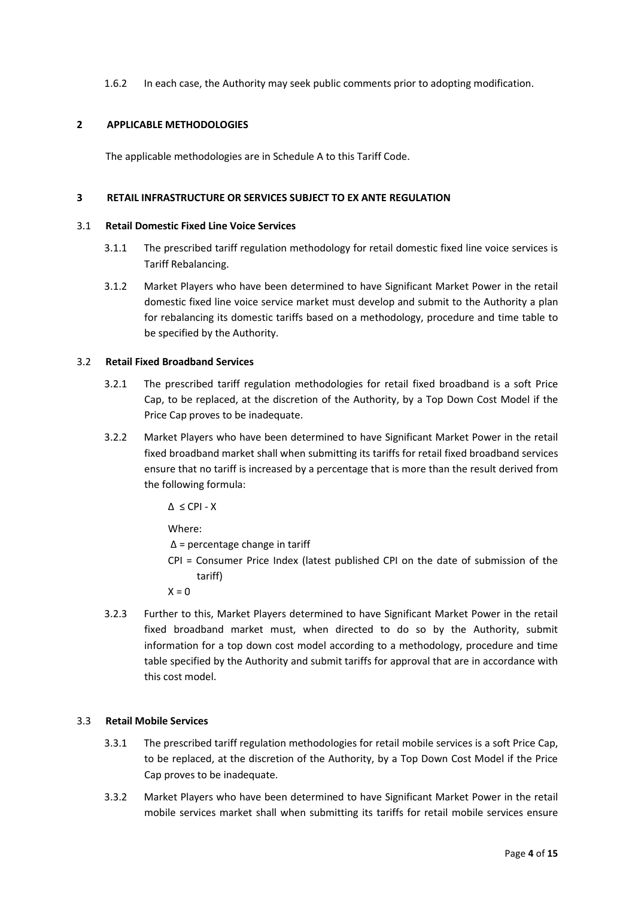1.6.2 In each case, the Authority may seek public comments prior to adopting modification.

## **2 APPLICABLE METHODOLOGIES**

The applicable methodologies are in Schedule A to this Tariff Code.

#### **3 RETAIL INFRASTRUCTURE OR SERVICES SUBJECT TO EX ANTE REGULATION**

#### 3.1 **Retail Domestic Fixed Line Voice Services**

- 3.1.1 The prescribed tariff regulation methodology for retail domestic fixed line voice services is Tariff Rebalancing.
- 3.1.2 Market Players who have been determined to have Significant Market Power in the retail domestic fixed line voice service market must develop and submit to the Authority a plan for rebalancing its domestic tariffs based on a methodology, procedure and time table to be specified by the Authority.

#### 3.2 **Retail Fixed Broadband Services**

- 3.2.1 The prescribed tariff regulation methodologies for retail fixed broadband is a soft Price Cap, to be replaced, at the discretion of the Authority, by a Top Down Cost Model if the Price Cap proves to be inadequate.
- 3.2.2 Market Players who have been determined to have Significant Market Power in the retail fixed broadband market shall when submitting its tariffs for retail fixed broadband services ensure that no tariff is increased by a percentage that is more than the result derived from the following formula:

 $\Delta \leq CPI - X$ 

Where:

 $\Delta$  = percentage change in tariff

CPI = Consumer Price Index (latest published CPI on the date of submission of the tariff)

 $X = 0$ 

3.2.3 Further to this, Market Players determined to have Significant Market Power in the retail fixed broadband market must, when directed to do so by the Authority, submit information for a top down cost model according to a methodology, procedure and time table specified by the Authority and submit tariffs for approval that are in accordance with this cost model.

#### 3.3 **Retail Mobile Services**

- 3.3.1 The prescribed tariff regulation methodologies for retail mobile services is a soft Price Cap, to be replaced, at the discretion of the Authority, by a Top Down Cost Model if the Price Cap proves to be inadequate.
- 3.3.2 Market Players who have been determined to have Significant Market Power in the retail mobile services market shall when submitting its tariffs for retail mobile services ensure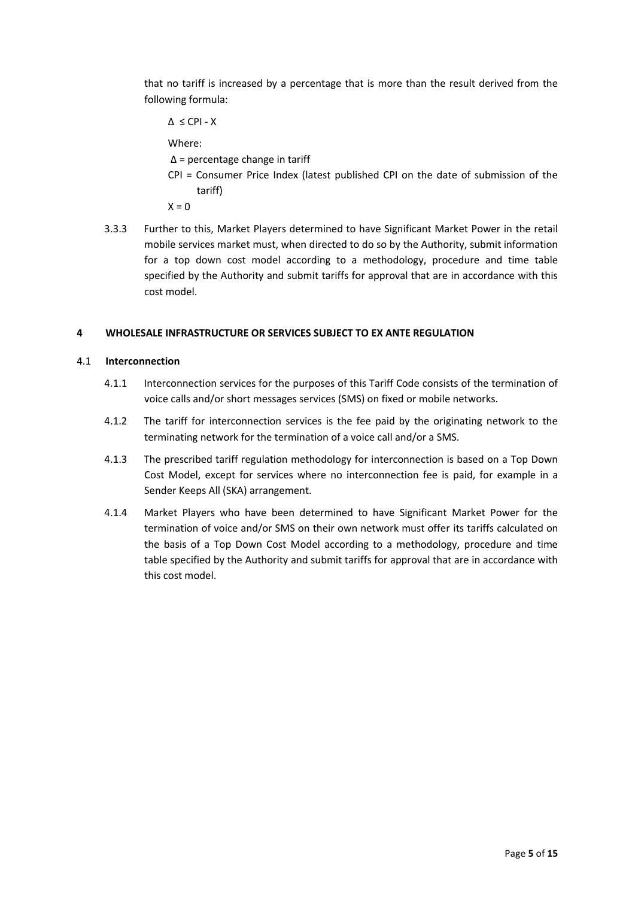that no tariff is increased by a percentage that is more than the result derived from the following formula:

 $\Delta$   $\leq$  CPI - X

Where:

Δ = percentage change in tariff

CPI = Consumer Price Index (latest published CPI on the date of submission of the tariff)

 $X = 0$ 

3.3.3 Further to this, Market Players determined to have Significant Market Power in the retail mobile services market must, when directed to do so by the Authority, submit information for a top down cost model according to a methodology, procedure and time table specified by the Authority and submit tariffs for approval that are in accordance with this cost model.

## **4 WHOLESALE INFRASTRUCTURE OR SERVICES SUBJECT TO EX ANTE REGULATION**

## 4.1 **Interconnection**

- 4.1.1 Interconnection services for the purposes of this Tariff Code consists of the termination of voice calls and/or short messages services (SMS) on fixed or mobile networks.
- 4.1.2 The tariff for interconnection services is the fee paid by the originating network to the terminating network for the termination of a voice call and/or a SMS.
- 4.1.3 The prescribed tariff regulation methodology for interconnection is based on a Top Down Cost Model, except for services where no interconnection fee is paid, for example in a Sender Keeps All (SKA) arrangement.
- 4.1.4 Market Players who have been determined to have Significant Market Power for the termination of voice and/or SMS on their own network must offer its tariffs calculated on the basis of a Top Down Cost Model according to a methodology, procedure and time table specified by the Authority and submit tariffs for approval that are in accordance with this cost model.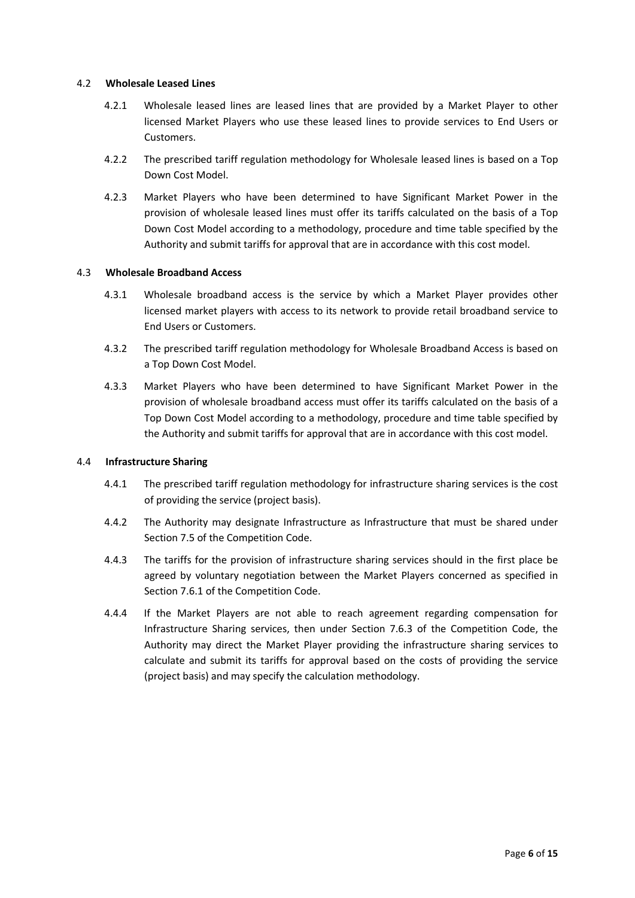## 4.2 **Wholesale Leased Lines**

- 4.2.1 Wholesale leased lines are leased lines that are provided by a Market Player to other licensed Market Players who use these leased lines to provide services to End Users or Customers.
- 4.2.2 The prescribed tariff regulation methodology for Wholesale leased lines is based on a Top Down Cost Model.
- 4.2.3 Market Players who have been determined to have Significant Market Power in the provision of wholesale leased lines must offer its tariffs calculated on the basis of a Top Down Cost Model according to a methodology, procedure and time table specified by the Authority and submit tariffs for approval that are in accordance with this cost model.

## 4.3 **Wholesale Broadband Access**

- 4.3.1 Wholesale broadband access is the service by which a Market Player provides other licensed market players with access to its network to provide retail broadband service to End Users or Customers.
- 4.3.2 The prescribed tariff regulation methodology for Wholesale Broadband Access is based on a Top Down Cost Model.
- 4.3.3 Market Players who have been determined to have Significant Market Power in the provision of wholesale broadband access must offer its tariffs calculated on the basis of a Top Down Cost Model according to a methodology, procedure and time table specified by the Authority and submit tariffs for approval that are in accordance with this cost model.

#### 4.4 **Infrastructure Sharing**

- 4.4.1 The prescribed tariff regulation methodology for infrastructure sharing services is the cost of providing the service (project basis).
- 4.4.2 The Authority may designate Infrastructure as Infrastructure that must be shared under Section 7.5 of the Competition Code.
- 4.4.3 The tariffs for the provision of infrastructure sharing services should in the first place be agreed by voluntary negotiation between the Market Players concerned as specified in Section 7.6.1 of the Competition Code.
- 4.4.4 If the Market Players are not able to reach agreement regarding compensation for Infrastructure Sharing services, then under Section 7.6.3 of the Competition Code, the Authority may direct the Market Player providing the infrastructure sharing services to calculate and submit its tariffs for approval based on the costs of providing the service (project basis) and may specify the calculation methodology.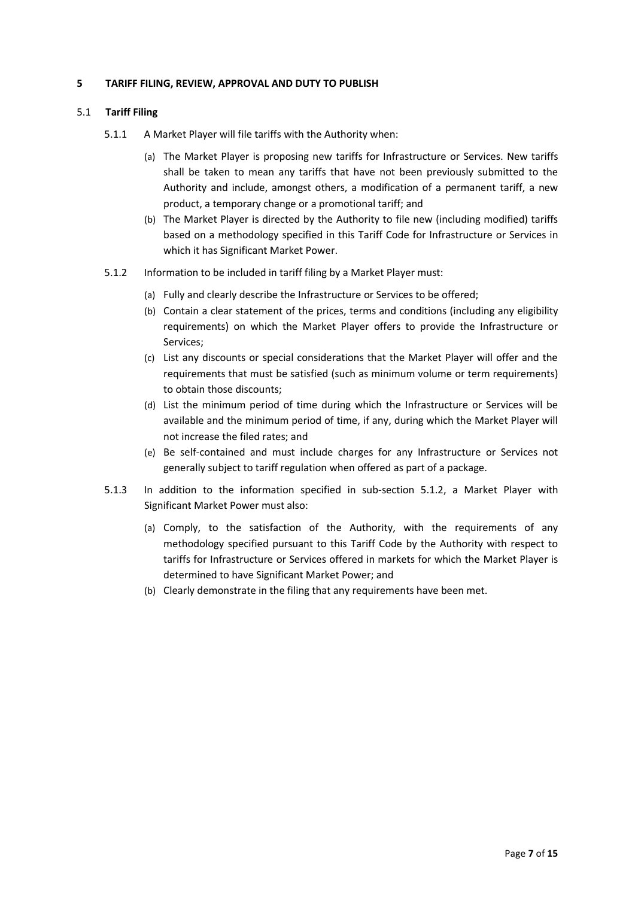## **5 TARIFF FILING, REVIEW, APPROVAL AND DUTY TO PUBLISH**

#### 5.1 **Tariff Filing**

- 5.1.1 A Market Player will file tariffs with the Authority when:
	- (a) The Market Player is proposing new tariffs for Infrastructure or Services. New tariffs shall be taken to mean any tariffs that have not been previously submitted to the Authority and include, amongst others, a modification of a permanent tariff, a new product, a temporary change or a promotional tariff; and
	- (b) The Market Player is directed by the Authority to file new (including modified) tariffs based on a methodology specified in this Tariff Code for Infrastructure or Services in which it has Significant Market Power.
- 5.1.2 Information to be included in tariff filing by a Market Player must:
	- (a) Fully and clearly describe the Infrastructure or Services to be offered;
	- (b) Contain a clear statement of the prices, terms and conditions (including any eligibility requirements) on which the Market Player offers to provide the Infrastructure or Services;
	- (c) List any discounts or special considerations that the Market Player will offer and the requirements that must be satisfied (such as minimum volume or term requirements) to obtain those discounts;
	- (d) List the minimum period of time during which the Infrastructure or Services will be available and the minimum period of time, if any, during which the Market Player will not increase the filed rates; and
	- (e) Be self-contained and must include charges for any Infrastructure or Services not generally subject to tariff regulation when offered as part of a package.
- 5.1.3 In addition to the information specified in sub-section 5.1.2, a Market Player with Significant Market Power must also:
	- (a) Comply, to the satisfaction of the Authority, with the requirements of any methodology specified pursuant to this Tariff Code by the Authority with respect to tariffs for Infrastructure or Services offered in markets for which the Market Player is determined to have Significant Market Power; and
	- (b) Clearly demonstrate in the filing that any requirements have been met.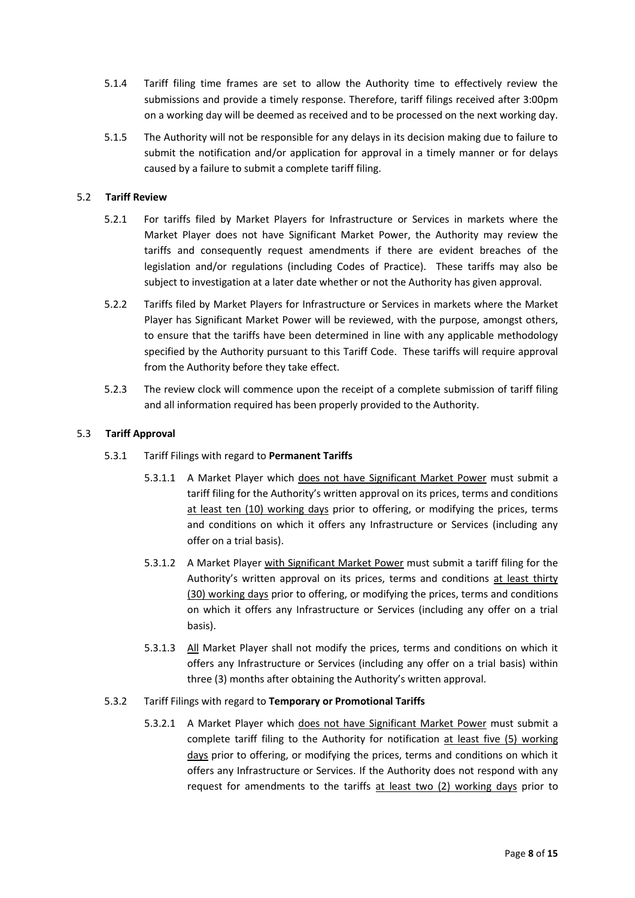- 5.1.4 Tariff filing time frames are set to allow the Authority time to effectively review the submissions and provide a timely response. Therefore, tariff filings received after 3:00pm on a working day will be deemed as received and to be processed on the next working day.
- 5.1.5 The Authority will not be responsible for any delays in its decision making due to failure to submit the notification and/or application for approval in a timely manner or for delays caused by a failure to submit a complete tariff filing.

## 5.2 **Tariff Review**

- 5.2.1 For tariffs filed by Market Players for Infrastructure or Services in markets where the Market Player does not have Significant Market Power, the Authority may review the tariffs and consequently request amendments if there are evident breaches of the legislation and/or regulations (including Codes of Practice). These tariffs may also be subject to investigation at a later date whether or not the Authority has given approval.
- 5.2.2 Tariffs filed by Market Players for Infrastructure or Services in markets where the Market Player has Significant Market Power will be reviewed, with the purpose, amongst others, to ensure that the tariffs have been determined in line with any applicable methodology specified by the Authority pursuant to this Tariff Code. These tariffs will require approval from the Authority before they take effect.
- 5.2.3 The review clock will commence upon the receipt of a complete submission of tariff filing and all information required has been properly provided to the Authority.

#### 5.3 **Tariff Approval**

#### 5.3.1 Tariff Filings with regard to **Permanent Tariffs**

- 5.3.1.1 A Market Player which does not have Significant Market Power must submit a tariff filing for the Authority's written approval on its prices, terms and conditions at least ten (10) working days prior to offering, or modifying the prices, terms and conditions on which it offers any Infrastructure or Services (including any offer on a trial basis).
- 5.3.1.2 A Market Player with Significant Market Power must submit a tariff filing for the Authority's written approval on its prices, terms and conditions at least thirty (30) working days prior to offering, or modifying the prices, terms and conditions on which it offers any Infrastructure or Services (including any offer on a trial basis).
- 5.3.1.3 All Market Player shall not modify the prices, terms and conditions on which it offers any Infrastructure or Services (including any offer on a trial basis) within three (3) months after obtaining the Authority's written approval.

#### 5.3.2 Tariff Filings with regard to **Temporary or Promotional Tariffs**

5.3.2.1 A Market Player which does not have Significant Market Power must submit a complete tariff filing to the Authority for notification at least five (5) working days prior to offering, or modifying the prices, terms and conditions on which it offers any Infrastructure or Services. If the Authority does not respond with any request for amendments to the tariffs at least two (2) working days prior to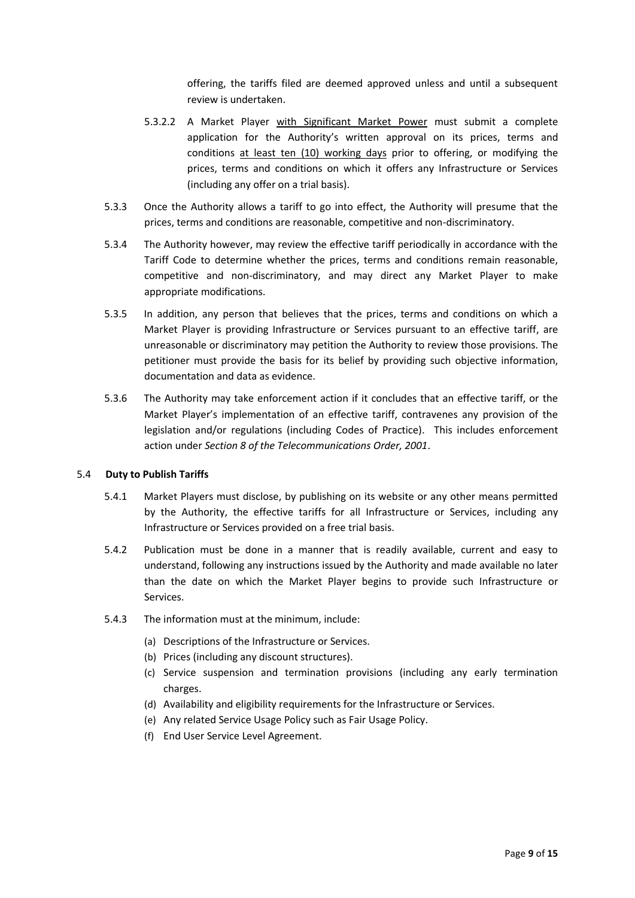offering, the tariffs filed are deemed approved unless and until a subsequent review is undertaken.

- 5.3.2.2 A Market Player with Significant Market Power must submit a complete application for the Authority's written approval on its prices, terms and conditions at least ten (10) working days prior to offering, or modifying the prices, terms and conditions on which it offers any Infrastructure or Services (including any offer on a trial basis).
- 5.3.3 Once the Authority allows a tariff to go into effect, the Authority will presume that the prices, terms and conditions are reasonable, competitive and non-discriminatory.
- 5.3.4 The Authority however, may review the effective tariff periodically in accordance with the Tariff Code to determine whether the prices, terms and conditions remain reasonable, competitive and non-discriminatory, and may direct any Market Player to make appropriate modifications.
- 5.3.5 In addition, any person that believes that the prices, terms and conditions on which a Market Player is providing Infrastructure or Services pursuant to an effective tariff, are unreasonable or discriminatory may petition the Authority to review those provisions. The petitioner must provide the basis for its belief by providing such objective information, documentation and data as evidence.
- 5.3.6 The Authority may take enforcement action if it concludes that an effective tariff, or the Market Player's implementation of an effective tariff, contravenes any provision of the legislation and/or regulations (including Codes of Practice). This includes enforcement action under *Section 8 of the Telecommunications Order, 2001*.

## 5.4 **Duty to Publish Tariffs**

- 5.4.1 Market Players must disclose, by publishing on its website or any other means permitted by the Authority, the effective tariffs for all Infrastructure or Services, including any Infrastructure or Services provided on a free trial basis.
- 5.4.2 Publication must be done in a manner that is readily available, current and easy to understand, following any instructions issued by the Authority and made available no later than the date on which the Market Player begins to provide such Infrastructure or Services.
- 5.4.3 The information must at the minimum, include:
	- (a) Descriptions of the Infrastructure or Services.
	- (b) Prices (including any discount structures).
	- (c) Service suspension and termination provisions (including any early termination charges.
	- (d) Availability and eligibility requirements for the Infrastructure or Services.
	- (e) Any related Service Usage Policy such as Fair Usage Policy.
	- (f) End User Service Level Agreement.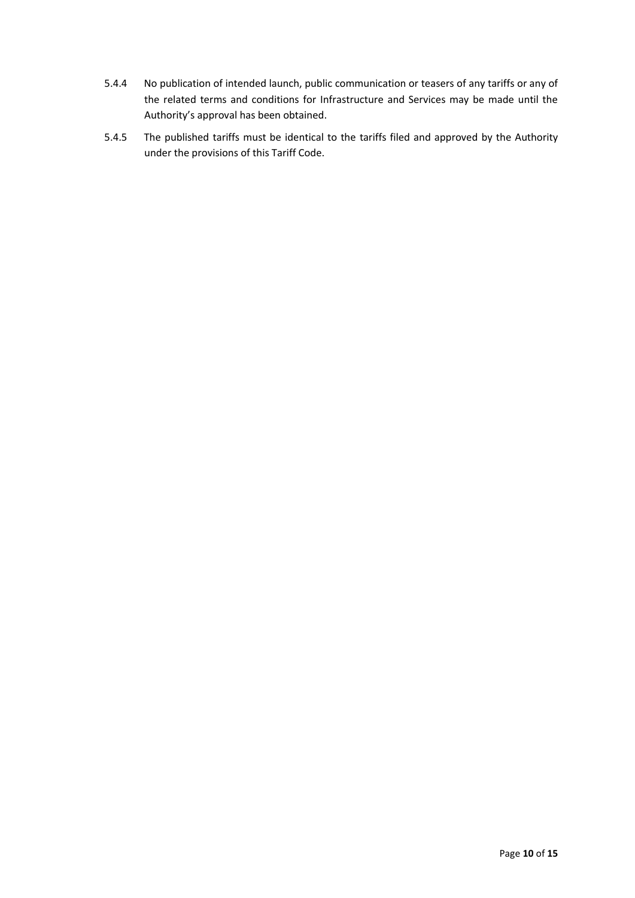- 5.4.4 No publication of intended launch, public communication or teasers of any tariffs or any of the related terms and conditions for Infrastructure and Services may be made until the Authority's approval has been obtained.
- 5.4.5 The published tariffs must be identical to the tariffs filed and approved by the Authority under the provisions of this Tariff Code.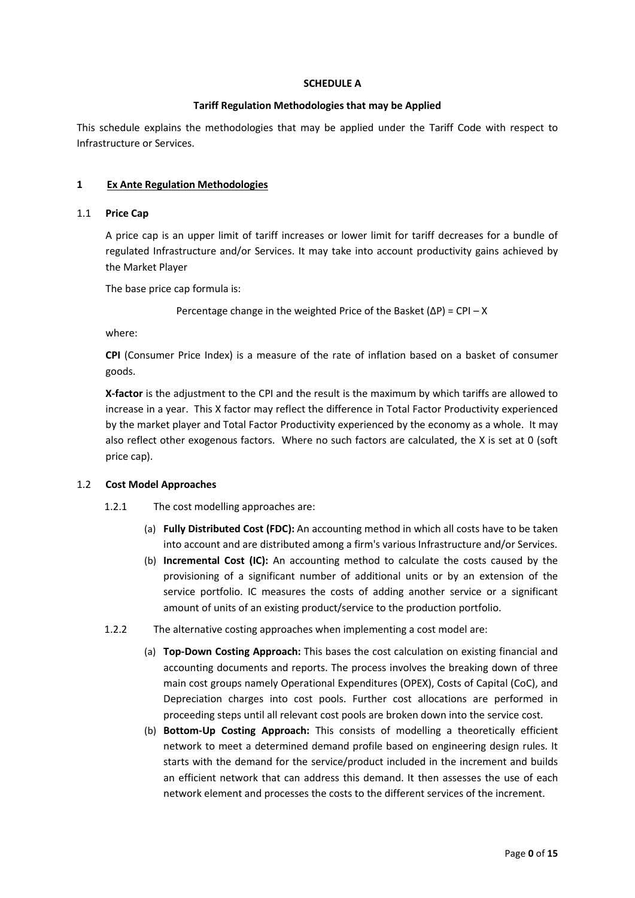## **SCHEDULE A**

## **Tariff Regulation Methodologies that may be Applied**

This schedule explains the methodologies that may be applied under the Tariff Code with respect to Infrastructure or Services.

## **1 Ex Ante Regulation Methodologies**

#### 1.1 **Price Cap**

A price cap is an upper limit of tariff increases or lower limit for tariff decreases for a bundle of regulated Infrastructure and/or Services. It may take into account productivity gains achieved by the Market Player

The base price cap formula is:

Percentage change in the weighted Price of the Basket (ΔP) = CPI – X

where:

**CPI** (Consumer Price Index) is a measure of the rate of inflation based on a basket of consumer goods.

**X-factor** is the adjustment to the CPI and the result is the maximum by which tariffs are allowed to increase in a year. This X factor may reflect the difference in Total Factor Productivity experienced by the market player and Total Factor Productivity experienced by the economy as a whole. It may also reflect other exogenous factors. Where no such factors are calculated, the X is set at 0 (soft price cap).

#### 1.2 **Cost Model Approaches**

- 1.2.1 The cost modelling approaches are:
	- (a) **Fully Distributed Cost (FDC):** An accounting method in which all costs have to be taken into account and are distributed among a firm's various Infrastructure and/or Services.
	- (b) **Incremental Cost (IC):** An accounting method to calculate the costs caused by the provisioning of a significant number of additional units or by an extension of the service portfolio. IC measures the costs of adding another service or a significant amount of units of an existing product/service to the production portfolio.
- 1.2.2 The alternative costing approaches when implementing a cost model are:
	- (a) **Top-Down Costing Approach:** This bases the cost calculation on existing financial and accounting documents and reports. The process involves the breaking down of three main cost groups namely Operational Expenditures (OPEX), Costs of Capital (CoC), and Depreciation charges into cost pools. Further cost allocations are performed in proceeding steps until all relevant cost pools are broken down into the service cost.
	- (b) **Bottom-Up Costing Approach:** This consists of modelling a theoretically efficient network to meet a determined demand profile based on engineering design rules. It starts with the demand for the service/product included in the increment and builds an efficient network that can address this demand. It then assesses the use of each network element and processes the costs to the different services of the increment.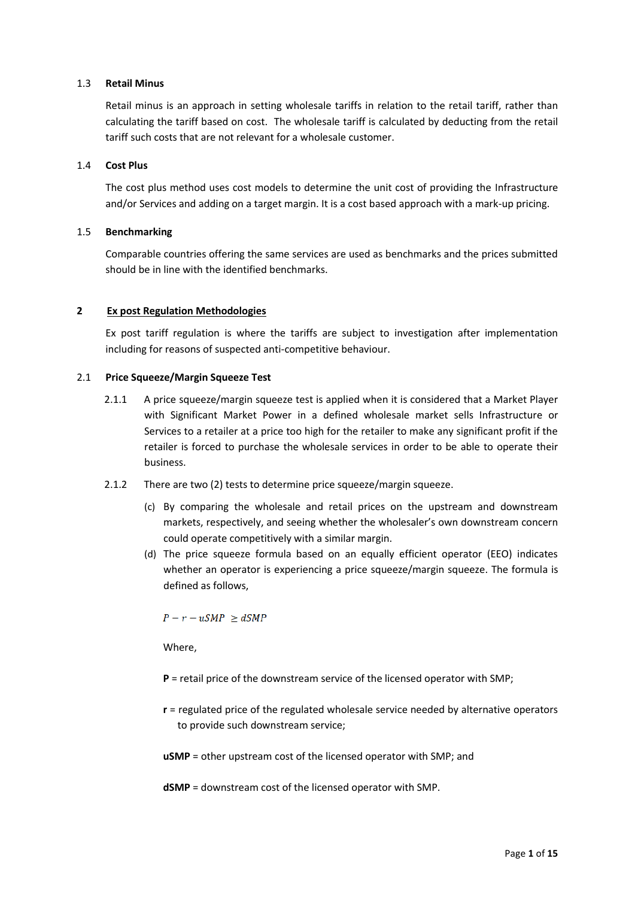## 1.3 **Retail Minus**

Retail minus is an approach in setting wholesale tariffs in relation to the retail tariff, rather than calculating the tariff based on cost. The wholesale tariff is calculated by deducting from the retail tariff such costs that are not relevant for a wholesale customer.

## 1.4 **Cost Plus**

The cost plus method uses cost models to determine the unit cost of providing the Infrastructure and/or Services and adding on a target margin. It is a cost based approach with a mark-up pricing.

## 1.5 **Benchmarking**

Comparable countries offering the same services are used as benchmarks and the prices submitted should be in line with the identified benchmarks.

## **2 Ex post Regulation Methodologies**

Ex post tariff regulation is where the tariffs are subject to investigation after implementation including for reasons of suspected anti-competitive behaviour.

#### 2.1 **Price Squeeze/Margin Squeeze Test**

- 2.1.1 A price squeeze/margin squeeze test is applied when it is considered that a Market Player with Significant Market Power in a defined wholesale market sells Infrastructure or Services to a retailer at a price too high for the retailer to make any significant profit if the retailer is forced to purchase the wholesale services in order to be able to operate their business.
- 2.1.2 There are two (2) tests to determine price squeeze/margin squeeze.
	- (c) By comparing the wholesale and retail prices on the upstream and downstream markets, respectively, and seeing whether the wholesaler's own downstream concern could operate competitively with a similar margin.
	- (d) The price squeeze formula based on an equally efficient operator (EEO) indicates whether an operator is experiencing a price squeeze/margin squeeze. The formula is defined as follows,

 $P - r - uSMP \ge dSMP$ 

Where,

- **P** = retail price of the downstream service of the licensed operator with SMP;
- **r** = regulated price of the regulated wholesale service needed by alternative operators to provide such downstream service;
- **uSMP** = other upstream cost of the licensed operator with SMP; and

**dSMP** = downstream cost of the licensed operator with SMP.